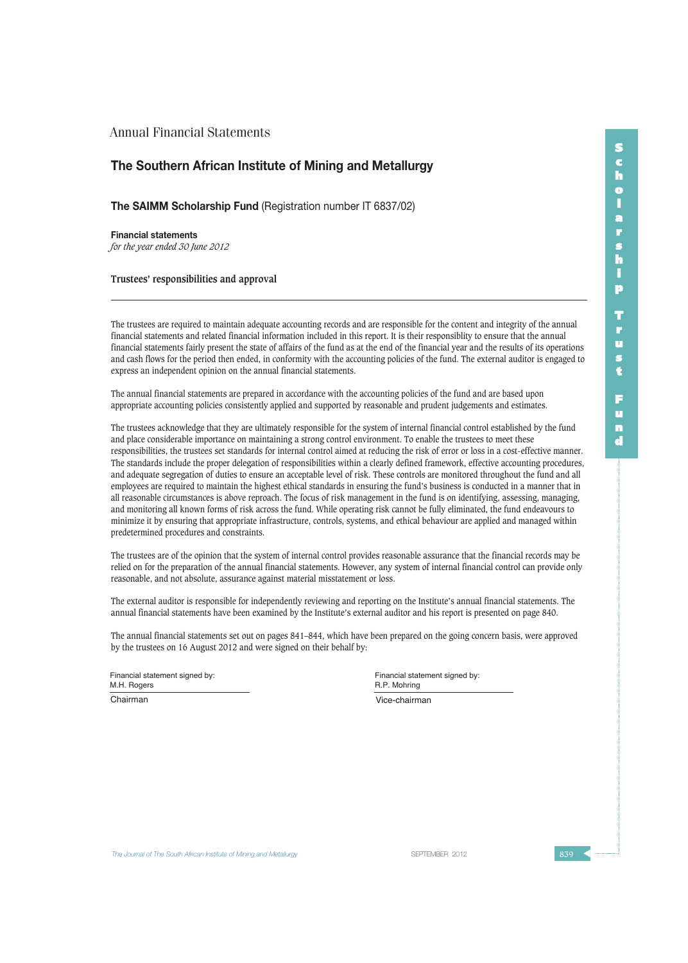## **The Southern African Institute of Mining and Metallurgy**

**The SAIMM Scholarship Fund** (Registration number IT 6837/02)

**Financial statements** *for the year ended 30 June 2012*

**Trustees' responsibilities and approval**

The trustees are required to maintain adequate accounting records and are responsible for the content and integrity of the annual financial statements and related financial information included in this report. It is their responsiblity to ensure that the annual financial statements fairly present the state of affairs of the fund as at the end of the financial year and the results of its operations and cash flows for the period then ended, in conformity with the accounting policies of the fund. The external auditor is engaged to express an independent opinion on the annual financial statements.

The annual financial statements are prepared in accordance with the accounting policies of the fund and are based upon appropriate accounting policies consistently applied and supported by reasonable and prudent judgements and estimates.

The trustees acknowledge that they are ultimately responsible for the system of internal financial control established by the fund and place considerable importance on maintaining a strong control environment. To enable the trustees to meet these responsibilities, the trustees set standards for internal control aimed at reducing the risk of error or loss in a cost-effective manner. The standards include the proper delegation of responsibilities within a clearly defined framework, effective accounting procedures, and adequate segregation of duties to ensure an acceptable level of risk. These controls are monitored throughout the fund and all employees are required to maintain the highest ethical standards in ensuring the fund's business is conducted in a manner that in all reasonable circumstances is above reproach. The focus of risk management in the fund is on identifying, assessing, managing, and monitoring all known forms of risk across the fund. While operating risk cannot be fully eliminated, the fund endeavours to minimize it by ensuring that appropriate infrastructure, controls, systems, and ethical behaviour are applied and managed within predetermined procedures and constraints.

The trustees are of the opinion that the system of internal control provides reasonable assurance that the financial records may be relied on for the preparation of the annual financial statements. However, any system of internal financial control can provide only reasonable, and not absolute, assurance against material misstatement or loss.

The external auditor is responsible for independently reviewing and reporting on the Institute's annual financial statements. The annual financial statements have been examined by the Institute's external auditor and his report is presented on page 840.

The annual financial statements set out on pages 841–844, which have been prepared on the going concern basis, were approved by the trustees on 16 August 2012 and were signed on their behalf by:

Financial statement signed by: M.H. Rogers

Financial statement signed by: R.P. Mohring

Chairman Vice-chairman

**The Journal of The South African Institute of Mining and Metallurgy Server SEPTEMBER 2012** SEPTEMBER 2012 **839**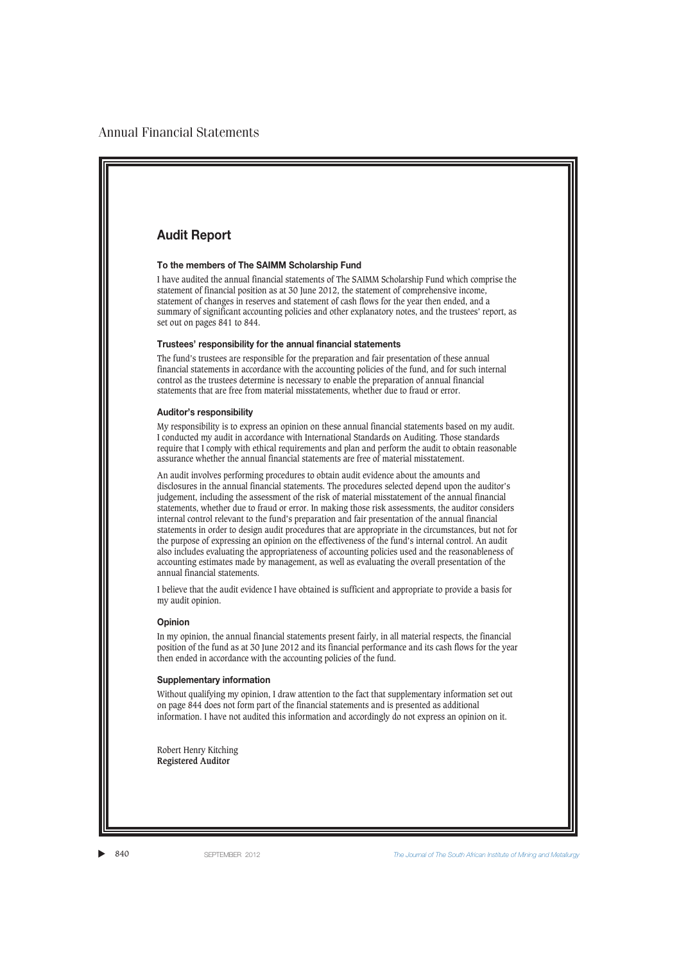# **Audit Report**

### **To the members of The SAIMM Scholarship Fund**

I have audited the annual financial statements of The SAIMM Scholarship Fund which comprise the statement of financial position as at 30 June 2012, the statement of comprehensive income, statement of changes in reserves and statement of cash flows for the year then ended, and a summary of significant accounting policies and other explanatory notes, and the trustees' report, as set out on pages 841 to 844.

### **Trustees' responsibility for the annual financial statements**

The fund's trustees are responsible for the preparation and fair presentation of these annual financial statements in accordance with the accounting policies of the fund, and for such internal control as the trustees determine is necessary to enable the preparation of annual financial statements that are free from material misstatements, whether due to fraud or error.

### **Auditor's responsibility**

My responsibility is to express an opinion on these annual financial statements based on my audit. I conducted my audit in accordance with International Standards on Auditing. Those standards require that I comply with ethical requirements and plan and perform the audit to obtain reasonable assurance whether the annual financial statements are free of material misstatement.

An audit involves performing procedures to obtain audit evidence about the amounts and disclosures in the annual financial statements. The procedures selected depend upon the auditor's judgement, including the assessment of the risk of material misstatement of the annual financial statements, whether due to fraud or error. In making those risk assessments, the auditor considers internal control relevant to the fund's preparation and fair presentation of the annual financial statements in order to design audit procedures that are appropriate in the circumstances, but not for the purpose of expressing an opinion on the effectiveness of the fund's internal control. An audit also includes evaluating the appropriateness of accounting policies used and the reasonableness of accounting estimates made by management, as well as evaluating the overall presentation of the annual financial statements.

I believe that the audit evidence I have obtained is sufficient and appropriate to provide a basis for my audit opinion.

### **Opinion**

In my opinion, the annual financial statements present fairly, in all material respects, the financial position of the fund as at 30 June 2012 and its financial performance and its cash flows for the year then ended in accordance with the accounting policies of the fund.

#### **Supplementary information**

Without qualifying my opinion, I draw attention to the fact that supplementary information set out on page 844 does not form part of the financial statements and is presented as additional information. I have not audited this information and accordingly do not express an opinion on it.

Robert Henry Kitching **Registered Auditor**

▲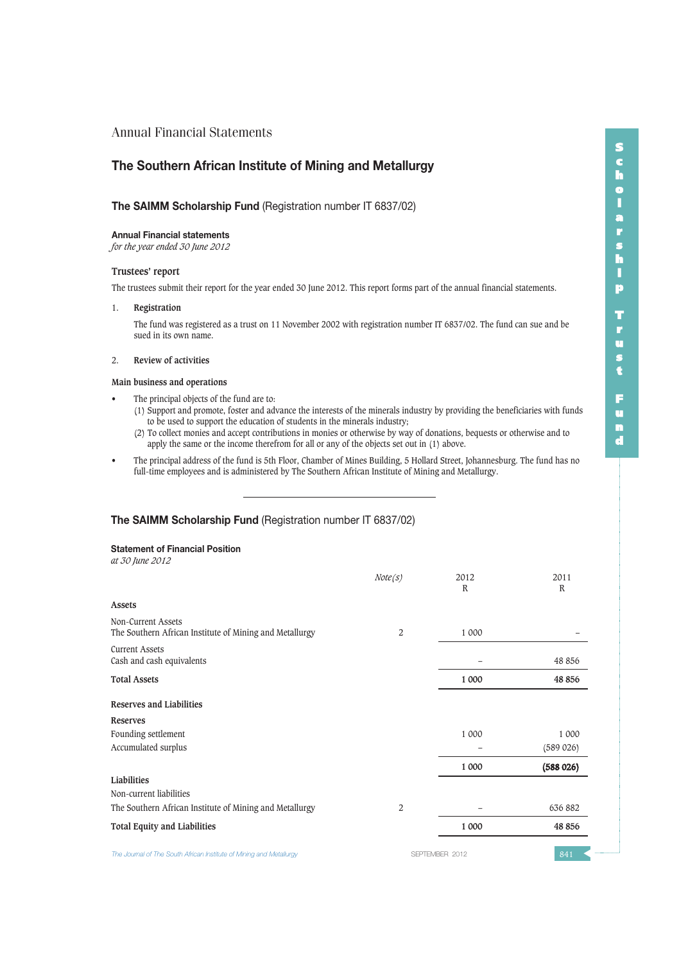# **The Southern African Institute of Mining and Metallurgy**

### **The SAIMM Scholarship Fund** (Registration number IT 6837/02)

### **Annual Financial statements**

*for the year ended 30 June 2012*

### **Trustees' report**

The trustees submit their report for the year ended 30 June 2012. This report forms part of the annual financial statements.

### 1. **Registration**

The fund was registered as a trust on 11 November 2002 with registration number IT 6837/02. The fund can sue and be sued in its own name.

### 2. **Review of activities**

### **Main business and operations**

- The principal objects of the fund are to:
	- (1) Support and promote, foster and advance the interests of the minerals industry by providing the beneficiaries with funds to be used to support the education of students in the minerals industry;
	- (2) To collect monies and accept contributions in monies or otherwise by way of donations, bequests or otherwise and to apply the same or the income therefrom for all or any of the objects set out in (1) above.
- The principal address of the fund is 5th Floor, Chamber of Mines Building, 5 Hollard Street, Johannesburg. The fund has no full-time employees and is administered by The Southern African Institute of Mining and Metallurgy.

### **The SAIMM Scholarship Fund** (Registration number IT 6837/02)

### **Statement of Financial Position**

*at 30 June 2012*

|                                                                               | Note(s)        | 2012<br>R      | 2011<br>$\mathbb{R}$ |
|-------------------------------------------------------------------------------|----------------|----------------|----------------------|
| <b>Assets</b>                                                                 |                |                |                      |
| Non-Current Assets<br>The Southern African Institute of Mining and Metallurgy | 2              | 1 000          |                      |
| <b>Current Assets</b><br>Cash and cash equivalents                            |                |                | 48 856               |
| <b>Total Assets</b>                                                           |                | 1 000          | 48 856               |
| Reserves and Liabilities                                                      |                |                |                      |
| <b>Reserves</b>                                                               |                |                |                      |
| Founding settlement                                                           |                | 1 000          | 1 000                |
| Accumulated surplus                                                           |                |                | (589 026)            |
|                                                                               |                | 1 000          | (588026)             |
| Liabilities                                                                   |                |                |                      |
| Non-current liabilities                                                       |                |                |                      |
| The Southern African Institute of Mining and Metallurgy                       | $\overline{2}$ |                | 636 882              |
| <b>Total Equity and Liabilities</b>                                           |                | 1 000          | 48 856               |
| The Journal of The South African Institute of Mining and Metallurgy           |                | SEPTEMBER 2012 | 841                  |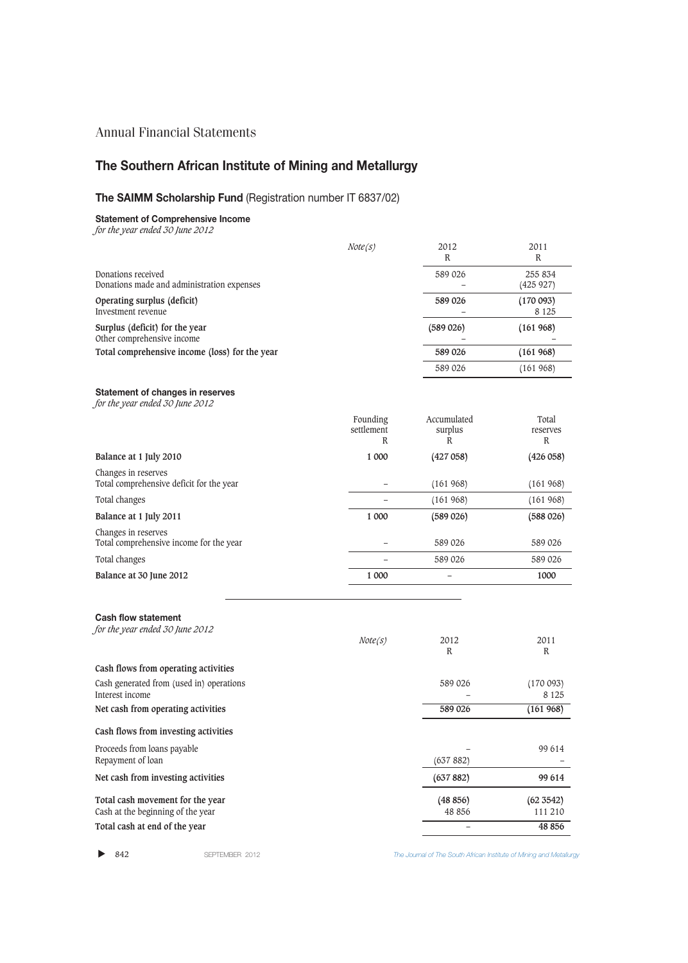# **The Southern African Institute of Mining and Metallurgy**

# **The SAIMM Scholarship Fund** (Registration number IT 6837/02)

**Statement of Comprehensive Income** *for the year ended 30 June 2012*

|                                                                                                                                                                                       | Note(s)                     | 2012<br>$\mathbb{R}$                   | 2011<br>$\mathbb{R}$             |
|---------------------------------------------------------------------------------------------------------------------------------------------------------------------------------------|-----------------------------|----------------------------------------|----------------------------------|
| Donations received<br>Donations made and administration expenses<br>Operating surplus (deficit)<br>Investment revenue<br>Surplus (deficit) for the year<br>Other comprehensive income |                             | 589 026                                | 255 834<br>(425927)              |
|                                                                                                                                                                                       |                             | 589 026                                | (170093)<br>8 1 2 5              |
|                                                                                                                                                                                       |                             | (589 026)                              | (161968)                         |
| Total comprehensive income (loss) for the year                                                                                                                                        |                             | 589 026                                | (161968)                         |
|                                                                                                                                                                                       |                             | 589 026                                | (161968)                         |
| <b>Statement of changes in reserves</b><br>for the year ended 30 June 2012                                                                                                            |                             |                                        |                                  |
|                                                                                                                                                                                       | Founding<br>settlement<br>R | Accumulated<br>surplus<br>$\mathbb{R}$ | Total<br>reserves<br>$\mathbb R$ |
| Balance at 1 July 2010                                                                                                                                                                | 1 000                       | (427058)                               | (426 058)                        |
| Changes in reserves<br>Total comprehensive deficit for the year                                                                                                                       |                             | (161968)                               | (161968)                         |
| Total changes                                                                                                                                                                         |                             | (161968)                               | (161968)                         |
| Balance at 1 July 2011                                                                                                                                                                | 1 000                       | (589 026)                              | (588026)                         |
| Changes in reserves<br>Total comprehensive income for the year                                                                                                                        |                             | 589 026                                | 589 026                          |
| Total changes                                                                                                                                                                         |                             | 589 026                                | 589 026                          |
| Balance at 30 June 2012                                                                                                                                                               | 1 000                       |                                        | 1000                             |
| <b>Cash flow statement</b><br>for the year ended 30 June 2012                                                                                                                         | Note(s)                     | 2012<br>$\mathbb R$                    | 2011<br>R                        |
| Cash flows from operating activities                                                                                                                                                  |                             |                                        |                                  |
| Cash generated from (used in) operations<br>Interest income                                                                                                                           |                             | 589 026                                | (170093)<br>8 1 2 5              |
| Net cash from operating activities                                                                                                                                                    |                             | 589 026                                | (161968)                         |
| Cash flows from investing activities                                                                                                                                                  |                             |                                        |                                  |
| Proceeds from loans payable<br>Repayment of loan                                                                                                                                      |                             | (637882)                               | 99 614                           |
| Net cash from investing activities                                                                                                                                                    |                             | (637882)                               | 99 614                           |
| Total cash movement for the year<br>Cash at the beginning of the year                                                                                                                 |                             | (48 856)<br>48 856                     | (62 3542)<br>111 210             |
| Total cash at end of the year                                                                                                                                                         |                             | $\overline{\phantom{0}}$               | 48 856                           |

 $\blacktriangleright$  842

842 SEPTEMBER 2012 *The Journal of The South African Institute of Mining and Metallurgy*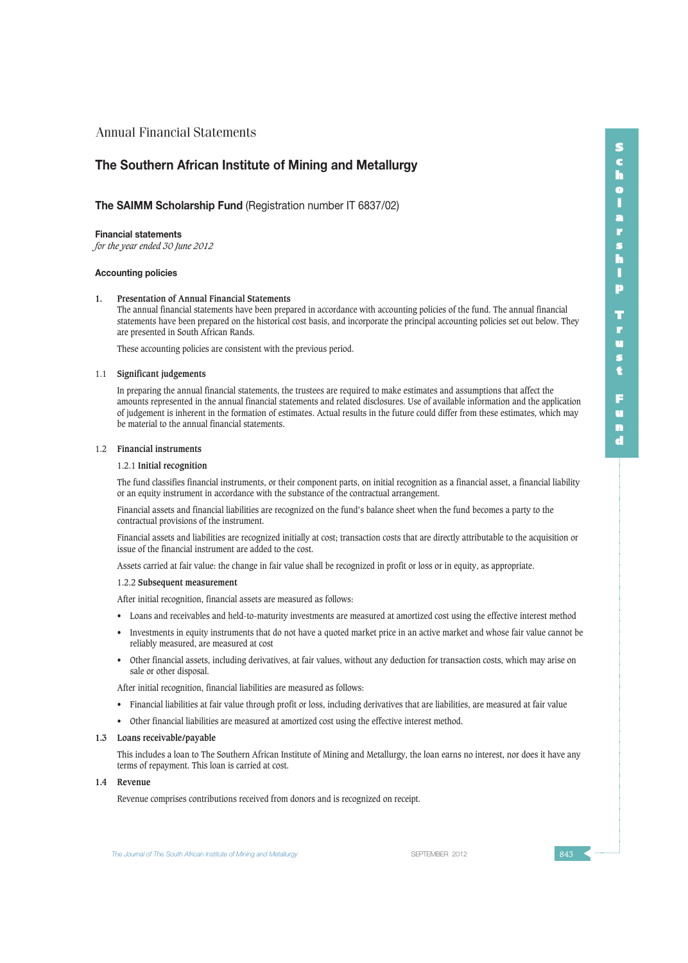## **The Southern African Institute of Mining and Metallurgy**

### **The SAIMM Scholarship Fund** (Registration number IT 6837/02)

### **Financial statements**

*for the year ended 30 June 2012*

### **Accounting policies**

#### **1. Presentation of Annual Financial Statements**

The annual financial statements have been prepared in accordance with accounting policies of the fund. The annual financial statements have been prepared on the historical cost basis, and incorporate the principal accounting policies set out below. They are presented in South African Rands.

These accounting policies are consistent with the previous period.

#### 1.1 **Significant judgements**

In preparing the annual financial statements, the trustees are required to make estimates and assumptions that affect the amounts represented in the annual financial statements and related disclosures. Use of available information and the application of judgement is inherent in the formation of estimates. Actual results in the future could differ from these estimates, which may be material to the annual financial statements.

### 1.2 **Financial instruments**

### 1.2.1 **Initial recognition**

The fund classifies financial instruments, or their component parts, on initial recognition as a financial asset, a financial liability or an equity instrument in accordance with the substance of the contractual arrangement.

Financial assets and financial liabilities are recognized on the fund's balance sheet when the fund becomes a party to the contractual provisions of the instrument.

Financial assets and liabilities are recognized initially at cost; transaction costs that are directly attributable to the acquisition or issue of the financial instrument are added to the cost.

Assets carried at fair value: the change in fair value shall be recognized in profit or loss or in equity, as appropriate.

#### 1.2.2 **Subsequent measurement**

After initial recognition, financial assets are measured as follows:

- Loans and receivables and held-to-maturity investments are measured at amortized cost using the effective interest method
- Investments in equity instruments that do not have a quoted market price in an active market and whose fair value cannot be reliably measured, are measured at cost
- Other financial assets, including derivatives, at fair values, without any deduction for transaction costs, which may arise on sale or other disposal.

After initial recognition, financial liabilities are measured as follows:

- Financial liabilities at fair value through profit or loss, including derivatives that are liabilities, are measured at fair value
- Other financial liabilities are measured at amortized cost using the effective interest method.

### **1.3 Loans receivable/payable**

This includes a loan to The Southern African Institute of Mining and Metallurgy, the loan earns no interest, nor does it have any terms of repayment. This loan is carried at cost.

### **1.4 Revenue**

Revenue comprises contributions received from donors and is recognized on receipt.